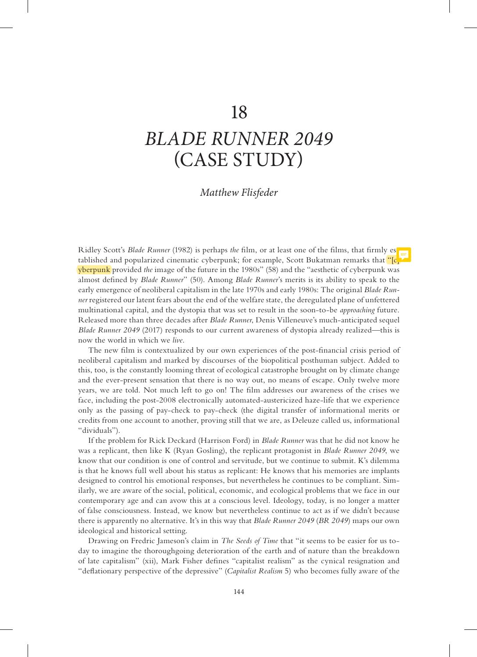## 18

# *BLADE RUNNER 2049* (CASE STUDY)

### *Matthew Flisfeder*

Ridley Scott's *Blade Runner* (1982) is perhaps *the* film, or at least one of the films, that firmly established and popularized cinematic cyberpunk; for example, Scott Bukatman remarks that "[c] yberpunk provided *the* image of the future in the 1980s" (58) and the "aesthetic of cyberpunk was almost defined by *Blade Runner*" (50). Among *Blade Runner*'s merits is its ability to speak to the early emergence of neoliberal capitalism in the late 1970s and early 1980s: The original *Blade Runner* registered our latent fears about the end of the welfare state, the deregulated plane of unfettered multinational capital, and the dystopia that was set to result in the soon-to-be *approaching* future. Released more than three decades after *Blade Runner*, Denis Villeneuve's much-anticipated sequel *Blade Runner 2049* (2017) responds to our current awareness of dystopia already realized—this is now the world in which we *live*.

The new film is contextualized by our own experiences of the post-financial crisis period of neoliberal capitalism and marked by discourses of the biopolitical posthuman subject. Added to this, too, is the constantly looming threat of ecological catastrophe brought on by climate change and the ever-present sensation that there is no way out, no means of escape. Only twelve more years, we are told. Not much left to go on! The film addresses our awareness of the crises we face, including the post-2008 electronically automated-austericized haze-life that we experience only as the passing of pay-check to pay-check (the digital transfer of informational merits or credits from one account to another, proving still that we are, as Deleuze called us, informational "dividuals").

If the problem for Rick Deckard (Harrison Ford) in *Blade Runner* was that he did not know he was a replicant, then like K (Ryan Gosling), the replicant protagonist in *Blade Runner 2049*, we know that our condition is one of control and servitude, but we continue to submit. K's dilemma is that he knows full well about his status as replicant: He knows that his memories are implants designed to control his emotional responses, but nevertheless he continues to be compliant. Similarly, we are aware of the social, political, economic, and ecological problems that we face in our contemporary age and can avow this at a conscious level. Ideology, today, is no longer a matter of false consciousness. Instead, we know but nevertheless continue to act as if we didn't because there is apparently no alternative. It's in this way that *Blade Runner 2049* (*BR 2049*) maps our own ideological and historical setting.

Drawing on Fredric Jameson's claim in *The Seeds of Time* that "it seems to be easier for us today to imagine the thoroughgoing deterioration of the earth and of nature than the breakdown of late capitalism" (xii), Mark Fisher defines "capitalist realism" as the cynical resignation and "deflationary perspective of the depressive" (*Capitalist Realism* 5) who becomes fully aware of the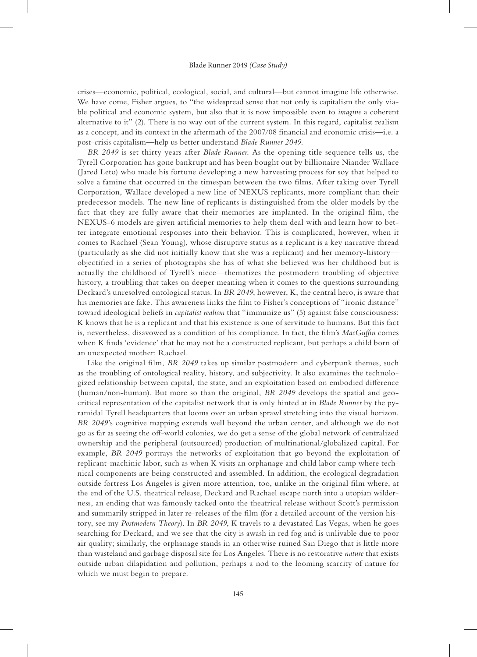#### Blade Runner 2049 *(Case Study)*

crises—economic, political, ecological, social, and cultural—but cannot imagine life otherwise. We have come, Fisher argues, to "the widespread sense that not only is capitalism the only viable political and economic system, but also that it is now impossible even to *imagine* a coherent alternative to it" (2). There is no way out of the current system. In this regard, capitalist realism as a concept, and its context in the aftermath of the 2007/08 financial and economic crisis—i.e. a post-crisis capitalism—help us better understand *Blade Runner 2049*.

*BR 2049* is set thirty years after *Blade Runner*. As the opening title sequence tells us, the Tyrell Corporation has gone bankrupt and has been bought out by billionaire Niander Wallace (Jared Leto) who made his fortune developing a new harvesting process for soy that helped to solve a famine that occurred in the timespan between the two films. After taking over Tyrell Corporation, Wallace developed a new line of NEXUS replicants, more compliant than their predecessor models. The new line of replicants is distinguished from the older models by the fact that they are fully aware that their memories are implanted. In the original film, the NEXUS-6 models are given artificial memories to help them deal with and learn how to better integrate emotional responses into their behavior. This is complicated, however, when it comes to Rachael (Sean Young), whose disruptive status as a replicant is a key narrative thread (particularly as she did not initially know that she was a replicant) and her memory-history objectified in a series of photographs she has of what she believed was her childhood but is actually the childhood of Tyrell's niece—thematizes the postmodern troubling of objective history, a troubling that takes on deeper meaning when it comes to the questions surrounding Deckard's unresolved ontological status. In *BR 2049*, however, K, the central hero, is aware that his memories are fake. This awareness links the film to Fisher's conceptions of "ironic distance" toward ideological beliefs in *capitalist realism* that "immunize us" (5) against false consciousness: K knows that he is a replicant and that his existence is one of servitude to humans. But this fact is, nevertheless, disavowed as a condition of his compliance. In fact, the film's *MacGuffin* comes when K finds 'evidence' that he may not be a constructed replicant, but perhaps a child born of an unexpected mother: Rachael.

Like the original film, *BR 2049* takes up similar postmodern and cyberpunk themes, such as the troubling of ontological reality, history, and subjectivity. It also examines the technologized relationship between capital, the state, and an exploitation based on embodied difference (human/non-human). But more so than the original, *BR 2049* develops the spatial and geocritical representation of the capitalist network that is only hinted at in *Blade Runner* by the pyramidal Tyrell headquarters that looms over an urban sprawl stretching into the visual horizon. *BR 2049*'s cognitive mapping extends well beyond the urban center, and although we do not go as far as seeing the off-world colonies, we do get a sense of the global network of centralized ownership and the peripheral (outsourced) production of multinational/globalized capital. For example, *BR 2049* portrays the networks of exploitation that go beyond the exploitation of replicant-machinic labor, such as when K visits an orphanage and child labor camp where technical components are being constructed and assembled. In addition, the ecological degradation outside fortress Los Angeles is given more attention, too, unlike in the original film where, at the end of the U.S. theatrical release, Deckard and Rachael escape north into a utopian wilderness, an ending that was famously tacked onto the theatrical release without Scott's permission and summarily stripped in later re-releases of the film (for a detailed account of the version history, see my *Postmodern Theory*). In *BR 2049*, K travels to a devastated Las Vegas, when he goes searching for Deckard, and we see that the city is awash in red fog and is unlivable due to poor air quality; similarly, the orphanage stands in an otherwise ruined San Diego that is little more than wasteland and garbage disposal site for Los Angeles. There is no restorative *nature* that exists outside urban dilapidation and pollution, perhaps a nod to the looming scarcity of nature for which we must begin to prepare.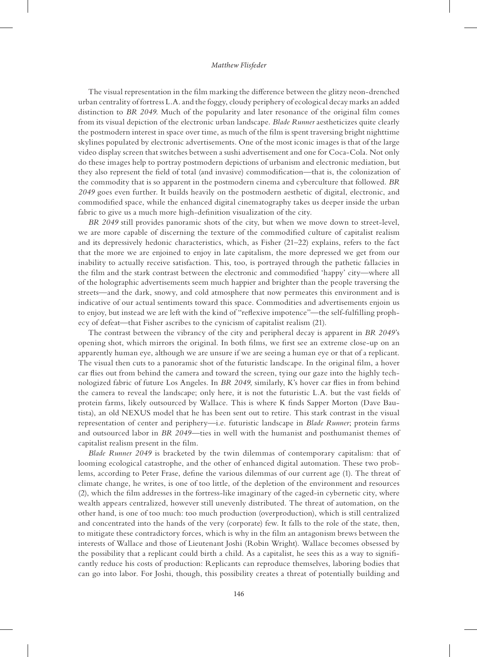#### *Matthew Flisfeder*

The visual representation in the film marking the difference between the glitzy neon-drenched urban centrality of fortress L.A. and the foggy, cloudy periphery of ecological decay marks an added distinction to *BR 2049*. Much of the popularity and later resonance of the original film comes from its visual depiction of the electronic urban landscape. *Blade Runner* aestheticizes quite clearly the postmodern interest in space over time, as much of the film is spent traversing bright nighttime skylines populated by electronic advertisements. One of the most iconic images is that of the large video display screen that switches between a sushi advertisement and one for Coca-Cola. Not only do these images help to portray postmodern depictions of urbanism and electronic mediation, but they also represent the field of total (and invasive) commodification—that is, the colonization of the commodity that is so apparent in the postmodern cinema and cyberculture that followed. *BR 2049* goes even further. It builds heavily on the postmodern aesthetic of digital, electronic, and commodified space, while the enhanced digital cinematography takes us deeper inside the urban fabric to give us a much more high-definition visualization of the city.

*BR 2049* still provides panoramic shots of the city, but when we move down to street-level, we are more capable of discerning the texture of the commodified culture of capitalist realism and its depressively hedonic characteristics, which, as Fisher (21–22) explains, refers to the fact that the more we are enjoined to enjoy in late capitalism, the more depressed we get from our inability to actually receive satisfaction. This, too, is portrayed through the pathetic fallacies in the film and the stark contrast between the electronic and commodified 'happy' city—where all of the holographic advertisements seem much happier and brighter than the people traversing the streets—and the dark, snowy, and cold atmosphere that now permeates this environment and is indicative of our actual sentiments toward this space. Commodities and advertisements enjoin us to enjoy, but instead we are left with the kind of "reflexive impotence"—the self-fulfilling prophecy of defeat—that Fisher ascribes to the cynicism of capitalist realism (21).

The contrast between the vibrancy of the city and peripheral decay is apparent in *BR 2049*'s opening shot, which mirrors the original. In both films, we first see an extreme close-up on an apparently human eye, although we are unsure if we are seeing a human eye or that of a replicant. The visual then cuts to a panoramic shot of the futuristic landscape. In the original film, a hover car flies out from behind the camera and toward the screen, tying our gaze into the highly technologized fabric of future Los Angeles. In *BR 2049*, similarly, K's hover car flies in from behind the camera to reveal the landscape; only here, it is not the futuristic L.A. but the vast fields of protein farms, likely outsourced by Wallace. This is where K finds Sapper Morton (Dave Bautista), an old NEXUS model that he has been sent out to retire. This stark contrast in the visual representation of center and periphery—i.e. futuristic landscape in *Blade Runner*; protein farms and outsourced labor in *BR 2049*—ties in well with the humanist and posthumanist themes of capitalist realism present in the film.

*Blade Runner 2049* is bracketed by the twin dilemmas of contemporary capitalism: that of looming ecological catastrophe, and the other of enhanced digital automation. These two problems, according to Peter Frase, define the various dilemmas of our current age (1). The threat of climate change, he writes, is one of too little, of the depletion of the environment and resources (2), which the film addresses in the fortress-like imaginary of the caged-in cybernetic city, where wealth appears centralized, however still unevenly distributed. The threat of automation, on the other hand, is one of too much: too much production (overproduction), which is still centralized and concentrated into the hands of the very (corporate) few. It falls to the role of the state, then, to mitigate these contradictory forces, which is why in the film an antagonism brews between the interests of Wallace and those of Lieutenant Joshi (Robin Wright). Wallace becomes obsessed by the possibility that a replicant could birth a child. As a capitalist, he sees this as a way to significantly reduce his costs of production: Replicants can reproduce themselves, laboring bodies that can go into labor. For Joshi, though, this possibility creates a threat of potentially building and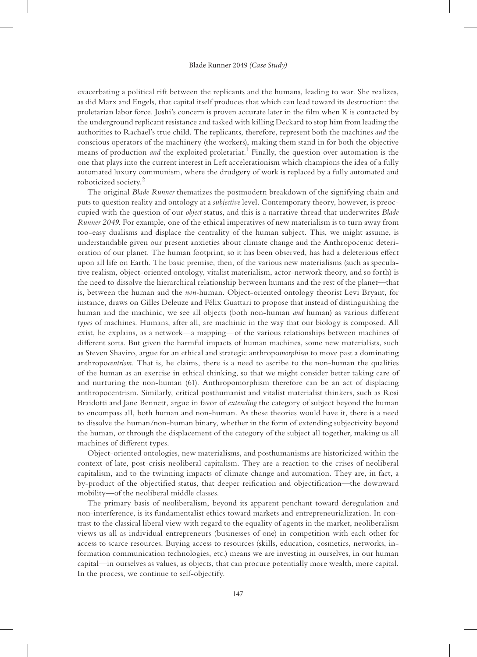exacerbating a political rift between the replicants and the humans, leading to war. She realizes, as did Marx and Engels, that capital itself produces that which can lead toward its destruction: the proletarian labor force. Joshi's concern is proven accurate later in the film when K is contacted by the underground replicant resistance and tasked with killing Deckard to stop him from leading the authorities to Rachael's true child. The replicants, therefore, represent both the machines *and* the conscious operators of the machinery (the workers), making them stand in for both the objective means of production *and* the exploited proletariat.<sup>1</sup> Finally, the question over automation is the one that plays into the current interest in Left accelerationism which champions the idea of a fully automated luxury communism, where the drudgery of work is replaced by a fully automated and roboticized society.<sup>2</sup>

The original *Blade Runner* thematizes the postmodern breakdown of the signifying chain and puts to question reality and ontology at a *subjective* level. Contemporary theory, however, is preoccupied with the question of our *object* status, and this is a narrative thread that underwrites *Blade Runner 2049*. For example, one of the ethical imperatives of new materialism is to turn away from too-easy dualisms and displace the centrality of the human subject. This, we might assume, is understandable given our present anxieties about climate change and the Anthropocenic deterioration of our planet. The human footprint, so it has been observed, has had a deleterious effect upon all life on Earth. The basic premise, then, of the various new materialisms (such as speculative realism, object-oriented ontology, vitalist materialism, actor-network theory, and so forth) is the need to dissolve the hierarchical relationship between humans and the rest of the planet—that is, between the human and the *non-*human. Object-oriented ontology theorist Levi Bryant, for instance, draws on Gilles Deleuze and Félix Guattari to propose that instead of distinguishing the human and the machinic, we see all objects (both non-human *and* human) as various different *types* of machines. Humans, after all, are machinic in the way that our biology is composed. All exist, he explains, as a network—a mapping—of the various relationships between machines of different sorts. But given the harmful impacts of human machines, some new materialists, such as Steven Shaviro, argue for an ethical and strategic anthropo*morphism* to move past a dominating anthropo*centrism*. That is, he claims, there is a need to ascribe to the non-human the qualities of the human as an exercise in ethical thinking, so that we might consider better taking care of and nurturing the non-human (61). Anthropomorphism therefore can be an act of displacing anthropocentrism. Similarly, critical posthumanist and vitalist materialist thinkers, such as Rosi Braidotti and Jane Bennett, argue in favor of *extending* the category of subject beyond the human to encompass all, both human and non-human. As these theories would have it, there is a need to dissolve the human/non-human binary, whether in the form of extending subjectivity beyond the human, or through the displacement of the category of the subject all together, making us all machines of different types.

Object-oriented ontologies, new materialisms, and posthumanisms are historicized within the context of late, post-crisis neoliberal capitalism. They are a reaction to the crises of neoliberal capitalism, and to the twinning impacts of climate change and automation. They are, in fact, a by-product of the objectified status, that deeper reification and objectification—the downward mobility—of the neoliberal middle classes.

The primary basis of neoliberalism, beyond its apparent penchant toward deregulation and non-interference, is its fundamentalist ethics toward markets and entrepreneurialization. In contrast to the classical liberal view with regard to the equality of agents in the market, neoliberalism views us all as individual entrepreneurs (businesses of one) in competition with each other for access to scarce resources. Buying access to resources (skills, education, cosmetics, networks, information communication technologies, etc.) means we are investing in ourselves, in our human capital—in ourselves as values, as objects, that can procure potentially more wealth, more capital. In the process, we continue to self-objectify.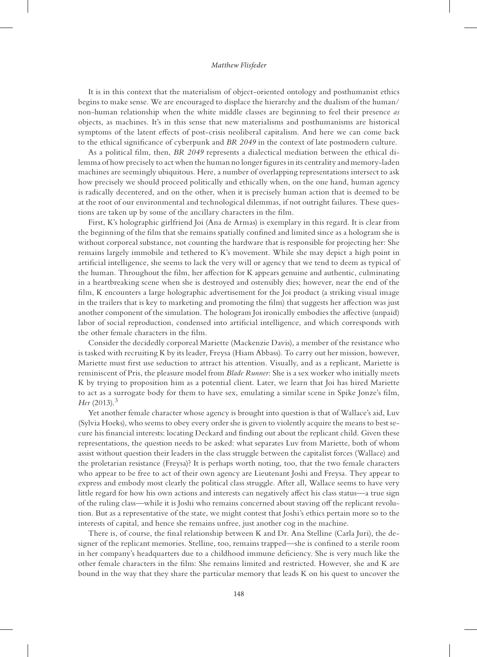#### *Matthew Flisfeder*

It is in this context that the materialism of object-oriented ontology and posthumanist ethics begins to make sense. We are encouraged to displace the hierarchy and the dualism of the human/ non-human relationship when the white middle classes are beginning to feel their presence *as* objects, as machines. It's in this sense that new materialisms and posthumanisms are historical symptoms of the latent effects of post-crisis neoliberal capitalism. And here we can come back to the ethical significance of cyberpunk and *BR 2049* in the context of late postmodern culture.

As a political film, then, *BR 2049* represents a dialectical mediation between the ethical dilemma of how precisely to act when the human no longer figures in its centrality and memory-laden machines are seemingly ubiquitous. Here, a number of overlapping representations intersect to ask how precisely we should proceed politically and ethically when, on the one hand, human agency is radically decentered, and on the other, when it is precisely human action that is deemed to be at the root of our environmental and technological dilemmas, if not outright failures. These questions are taken up by some of the ancillary characters in the film.

First, K's holographic girlfriend Joi (Ana de Armas) is exemplary in this regard. It is clear from the beginning of the film that she remains spatially confined and limited since as a hologram she is without corporeal substance, not counting the hardware that is responsible for projecting her: She remains largely immobile and tethered to K's movement. While she may depict a high point in artificial intelligence, she seems to lack the very will or agency that we tend to deem as typical of the human. Throughout the film, her affection for K appears genuine and authentic, culminating in a heartbreaking scene when she is destroyed and ostensibly dies; however, near the end of the film, K encounters a large holographic advertisement for the Joi product (a striking visual image in the trailers that is key to marketing and promoting the film) that suggests her affection was just another component of the simulation. The hologram Joi ironically embodies the affective (unpaid) labor of social reproduction, condensed into artificial intelligence, and which corresponds with the other female characters in the film.

Consider the decidedly corporeal Mariette (Mackenzie Davis), a member of the resistance who is tasked with recruiting K by its leader, Freysa (Hiam Abbass). To carry out her mission, however, Mariette must first use seduction to attract his attention. Visually, and as a replicant, Mariette is reminiscent of Pris, the pleasure model from *Blade Runner*: She is a sex worker who initially meets K by trying to proposition him as a potential client. Later, we learn that Joi has hired Mariette to act as a surrogate body for them to have sex, emulating a similar scene in Spike Jonze's film, *Her* (2013).<sup>3</sup>

Yet another female character whose agency is brought into question is that of Wallace's aid, Luv (Sylvia Hoeks), who seems to obey every order she is given to violently acquire the means to best secure his financial interests: locating Deckard and finding out about the replicant child. Given these representations, the question needs to be asked: what separates Luv from Mariette, both of whom assist without question their leaders in the class struggle between the capitalist forces (Wallace) and the proletarian resistance (Freysa)? It is perhaps worth noting, too, that the two female characters who appear to be free to act of their own agency are Lieutenant Joshi and Freysa. They appear to express and embody most clearly the political class struggle. After all, Wallace seems to have very little regard for how his own actions and interests can negatively affect his class status—a true sign of the ruling class—while it is Joshi who remains concerned about staving off the replicant revolution. But as a representative of the state, we might contest that Joshi's ethics pertain more so to the interests of capital, and hence she remains unfree, just another cog in the machine.

There is, of course, the final relationship between K and Dr. Ana Stelline (Carla Juri), the designer of the replicant memories. Stelline, too, remains trapped—she is confined to a sterile room in her company's headquarters due to a childhood immune deficiency. She is very much like the other female characters in the film: She remains limited and restricted. However, she and K are bound in the way that they share the particular memory that leads K on his quest to uncover the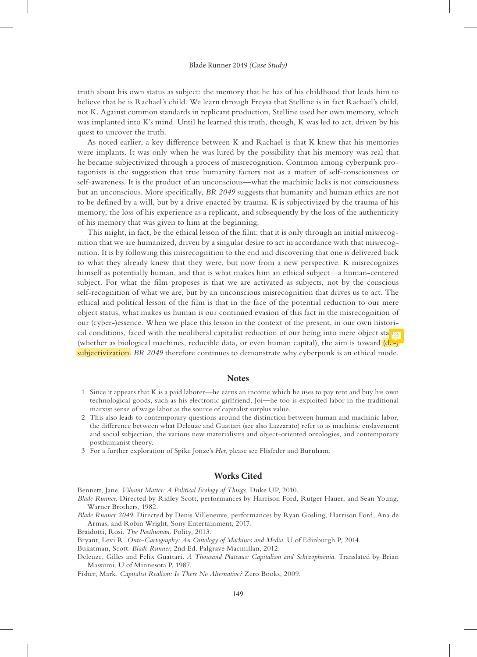#### Blade Runner 2049 *(Case Study)*

truth about his own status as subject: the memory that he has of his childhood that leads him to believe that he is Rachael's child. We learn through Freysa that Stelline is in fact Rachael's child, not K. Against common standards in replicant production, Stelline used her own memory, which was implanted into K's mind. Until he learned this truth, though, K was led to act, driven by his quest to uncover the truth.

As noted earlier, a key difference between K and Rachael is that K knew that his memories were implants. It was only when he was lured by the possibility that his memory was real that he became subjectivized through a process of misrecognition. Common among cyberpunk protagonists is the suggestion that true humanity factors not as a matter of self-consciousness or self-awareness. It is the product of an unconscious—what the machinic lacks is not consciousness but an unconscious. More specifically, *BR 2049* suggests that humanity and human ethics are not to be defined by a will, but by a drive enacted by trauma. K is subjectivized by the trauma of his memory, the loss of his experience as a replicant, and subsequently by the loss of the authenticity of his memory that was given to him at the beginning.

This might, in fact, be the ethical lesson of the film: that it is only through an initial misrecognition that we are humanized, driven by a singular desire to act in accordance with that misrecognition. It is by following this misrecognition to the end and discovering that one is delivered back to what they already knew that they were, but now from a new perspective. K misrecognizes himself as potentially human, and that is what makes him an ethical subject—a human-centered subject. For what the film proposes is that we are activated as subjects, not by the conscious self-recognition of what we are, but by an unconscious misrecognition that drives us to act. The ethical and political lesson of the film is that in the face of the potential reduction to our mere object status, what makes us human is our continued evasion of this fact in the misrecognition of our (cyber-)essence. When we place this lesson in the context of the present, in our own historical conditions, faced with the neoliberal capitalist reduction of our being into mere object status (whether as biological machines, reducible data, or even human capital), the aim is toward  $(d-)$ subjectivization. *BR 2049* therefore continues to demonstrate why cyberpunk is an ethical mode.

#### **Notes**

- 1 Since it appears that K is a paid laborer—he earns an income which he uses to pay rent and buy his own technological goods, such as his electronic girlfriend, Joi—he too is exploited labor in the traditional marxist sense of wage labor as the source of capitalist surplus value.
- 2 This also leads to contemporary questions around the distinction between human and machinic labor, the difference between what Deleuze and Guattari (see also Lazzarato) refer to as machinic enslavement and social subjection, the various new materialisms and object-oriented ontologies, and contemporary posthumanist theory.
- 3 For a further exploration of Spike Jonze's *Her*, please see Flisfeder and Burnham.

#### **Works Cited**

Bennett, Jane. *Vibrant Matter: A Political Ecology of Things.* Duke UP, 2010.

*Blade Runner*. Directed by Ridley Scott, performances by Harrison Ford, Rutger Hauer, and Sean Young, Warner Brothers, 1982.

*Blade Runner 2049*. Directed by Denis Villeneuve, performances by Ryan Gosling, Harrison Ford, Ana de Armas, and Robin Wright, Sony Entertainment, 2017.

Braidotti, Rosi. *The Posthuman*. Polity, 2013.

Bryant, Levi R. *Onto-Cartography: An Ontology of Machines and Media*. U of Edinburgh P, 2014.

Bukatman, Scott. *Blade Runner*, 2nd Ed. Palgrave Macmillan, 2012.

Deleuze, Gilles and Felix Guattari. *A Thousand Plateaus: Capitalism and Schizophrenia*. Translated by Brian Massumi. U of Minnesota P, 1987.

Fisher, Mark. *Capitalist Realism: Is There No Alternative?* Zero Books, 2009.